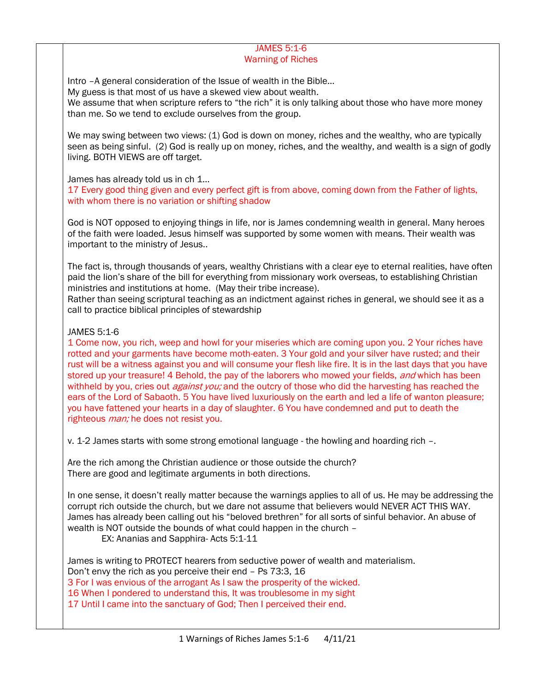### JAMES 5:1-6 Warning of Riches

Intro –A general consideration of the Issue of wealth in the Bible… My guess is that most of us have a skewed view about wealth. We assume that when scripture refers to "the rich" it is only talking about those who have more money than me. So we tend to exclude ourselves from the group.

We may swing between two views: (1) God is down on money, riches and the wealthy, who are typically seen as being sinful. (2) God is really up on money, riches, and the wealthy, and wealth is a sign of godly living. BOTH VIEWS are off target.

James has already told us in ch 1...

17 Every good thing given and every perfect gift is from above, coming down from the Father of lights, with whom there is no variation or shifting shadow

God is NOT opposed to enjoying things in life, nor is James condemning wealth in general. Many heroes of the faith were loaded. Jesus himself was supported by some women with means. Their wealth was important to the ministry of Jesus..

The fact is, through thousands of years, wealthy Christians with a clear eye to eternal realities, have often paid the lion's share of the bill for everything from missionary work overseas, to establishing Christian ministries and institutions at home. (May their tribe increase).

Rather than seeing scriptural teaching as an indictment against riches in general, we should see it as a call to practice biblical principles of stewardship

# JAMES 5:1-6

1 Come now, you rich, weep and howl for your miseries which are coming upon you. 2 Your riches have rotted and your garments have become moth-eaten. 3 Your gold and your silver have rusted; and their rust will be a witness against you and will consume your flesh like fire. It is in the last days that you have stored up your treasure! 4 Behold, the pay of the laborers who mowed your fields, and which has been withheld by you, cries out *against you;* and the outcry of those who did the harvesting has reached the ears of the Lord of Sabaoth. 5 You have lived luxuriously on the earth and led a life of wanton pleasure; you have fattened your hearts in a day of slaughter. 6 You have condemned and put to death the righteous *man;* he does not resist you.

v. 1-2 James starts with some strong emotional language - the howling and hoarding rich –.

Are the rich among the Christian audience or those outside the church? There are good and legitimate arguments in both directions.

In one sense, it doesn't really matter because the warnings applies to all of us. He may be addressing the corrupt rich outside the church, but we dare not assume that believers would NEVER ACT THIS WAY. James has already been calling out his "beloved brethren" for all sorts of sinful behavior. An abuse of wealth is NOT outside the bounds of what could happen in the church –

EX: Ananias and Sapphira- Acts 5:1-11

James is writing to PROTECT hearers from seductive power of wealth and materialism. Don't envy the rich as you perceive their end – Ps 73:3, 16 3 For I was envious of the arrogant As I saw the prosperity of the wicked. 16 When I pondered to understand this, It was troublesome in my sight 17 Until I came into the sanctuary of God; Then I perceived their end.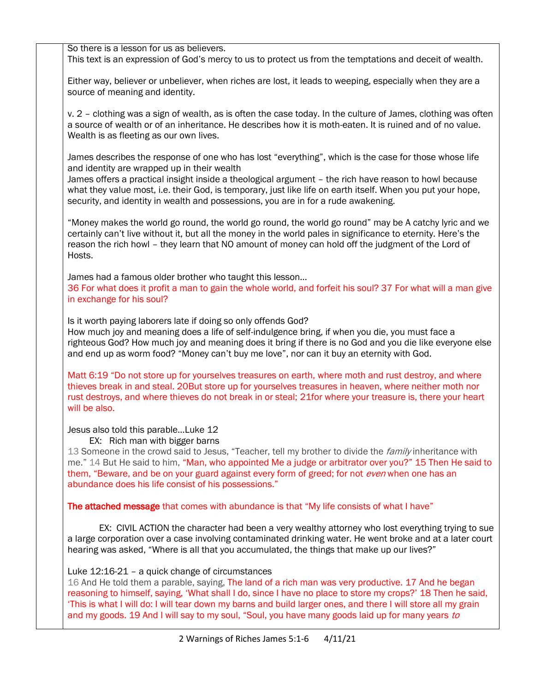So there is a lesson for us as believers. This text is an expression of God's mercy to us to protect us from the temptations and deceit of wealth.

Either way, believer or unbeliever, when riches are lost, it leads to weeping, especially when they are a source of meaning and identity.

v. 2 – clothing was a sign of wealth, as is often the case today. In the culture of James, clothing was often a source of wealth or of an inheritance. He describes how it is moth-eaten. It is ruined and of no value. Wealth is as fleeting as our own lives.

James describes the response of one who has lost "everything", which is the case for those whose life and identity are wrapped up in their wealth

James offers a practical insight inside a theological argument – the rich have reason to howl because what they value most, i.e. their God, is temporary, just like life on earth itself. When you put your hope, security, and identity in wealth and possessions, you are in for a rude awakening.

"Money makes the world go round, the world go round, the world go round" may be A catchy lyric and we certainly can't live without it, but all the money in the world pales in significance to eternity. Here's the reason the rich howl – they learn that NO amount of money can hold off the judgment of the Lord of Hosts.

James had a famous older brother who taught this lesson…

36 For what does it profit a man to gain the whole world, and forfeit his soul? 37 For what will a man give in exchange for his soul?

Is it worth paying laborers late if doing so only offends God? How much joy and meaning does a life of self-indulgence bring, if when you die, you must face a righteous God? How much joy and meaning does it bring if there is no God and you die like everyone else and end up as worm food? "Money can't buy me love", nor can it buy an eternity with God.

Matt 6:19 "Do not store up for yourselves treasures on earth, where moth and rust destroy, and where thieves break in and steal. 20But store up for yourselves treasures in heaven, where neither moth nor rust destroys, and where thieves do not break in or steal; 21for where your treasure is, there your heart will be also.

# Jesus also told this parable…Luke 12

EX: Rich man with bigger barns

13 Someone in the crowd said to Jesus, "Teacher, tell my brother to divide the family inheritance with me." 14 But He said to him, "Man, who appointed Me a judge or arbitrator over you?" 15 Then He said to them, "Beware, and be on your guard against every form of greed; for not *even* when one has an abundance does his life consist of his possessions."

The attached message that comes with abundance is that "My life consists of what I have"

EX: CIVIL ACTION the character had been a very wealthy attorney who lost everything trying to sue a large corporation over a case involving contaminated drinking water. He went broke and at a later court hearing was asked, "Where is all that you accumulated, the things that make up our lives?"

# Luke 12:16-21 – a quick change of circumstances

16 And He told them a parable, saying, The land of a rich man was very productive. 17 And he began reasoning to himself, saying, 'What shall I do, since I have no place to store my crops?' 18 Then he said, 'This is what I will do: I will tear down my barns and build larger ones, and there I will store all my grain and my goods. 19 And I will say to my soul, "Soul, you have many goods laid up for many years to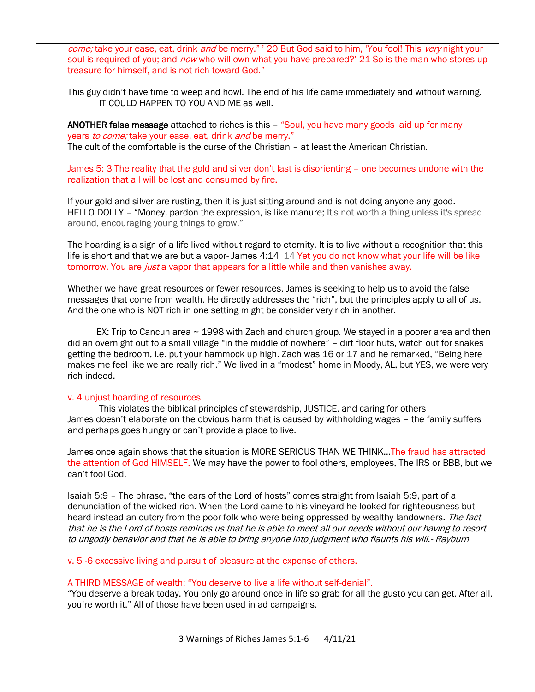come; take your ease, eat, drink and be merry." ' 20 But God said to him, 'You fool! This very night your soul is required of you; and *now* who will own what you have prepared?' 21 So is the man who stores up treasure for himself, and is not rich toward God."

This guy didn't have time to weep and howl. The end of his life came immediately and without warning. IT COULD HAPPEN TO YOU AND ME as well.

ANOTHER false message attached to riches is this – "Soul, you have many goods laid up for many years to come; take your ease, eat, drink and be merry." The cult of the comfortable is the curse of the Christian – at least the American Christian.

James 5: 3 The reality that the gold and silver don't last is disorienting – one becomes undone with the realization that all will be lost and consumed by fire.

If your gold and silver are rusting, then it is just sitting around and is not doing anyone any good. HELLO DOLLY - "Money, pardon the expression, is like manure; It's not worth a thing unless it's spread around, encouraging young things to grow."

The hoarding is a sign of a life lived without regard to eternity. It is to live without a recognition that this life is short and that we are but a vapor- James 4:14 14 Yet you do not know what your life will be like tomorrow. You are *just* a vapor that appears for a little while and then vanishes away.

Whether we have great resources or fewer resources, James is seeking to help us to avoid the false messages that come from wealth. He directly addresses the "rich", but the principles apply to all of us. And the one who is NOT rich in one setting might be consider very rich in another.

EX: Trip to Cancun area  $\sim$  1998 with Zach and church group. We stayed in a poorer area and then did an overnight out to a small village "in the middle of nowhere" – dirt floor huts, watch out for snakes getting the bedroom, i.e. put your hammock up high. Zach was 16 or 17 and he remarked, "Being here makes me feel like we are really rich." We lived in a "modest" home in Moody, AL, but YES, we were very rich indeed.

# v. 4 unjust hoarding of resources

This violates the biblical principles of stewardship, JUSTICE, and caring for others James doesn't elaborate on the obvious harm that is caused by withholding wages – the family suffers and perhaps goes hungry or can't provide a place to live.

James once again shows that the situation is MORE SERIOUS THAN WE THINK... The fraud has attracted the attention of God HIMSELF. We may have the power to fool others, employees, The IRS or BBB, but we can't fool God.

Isaiah 5:9 – The phrase, "the ears of the Lord of hosts" comes straight from Isaiah 5:9, part of a denunciation of the wicked rich. When the Lord came to his vineyard he looked for righteousness but heard instead an outcry from the poor folk who were being oppressed by wealthy landowners. The fact that he is the Lord of hosts reminds us that he is able to meet all our needs without our having to resort to ungodly behavior and that he is able to bring anyone into judgment who flaunts his will.- Rayburn

v. 5 -6 excessive living and pursuit of pleasure at the expense of others.

### A THIRD MESSAGE of wealth: "You deserve to live a life without self-denial".

"You deserve a break today. You only go around once in life so grab for all the gusto you can get. After all, you're worth it." All of those have been used in ad campaigns.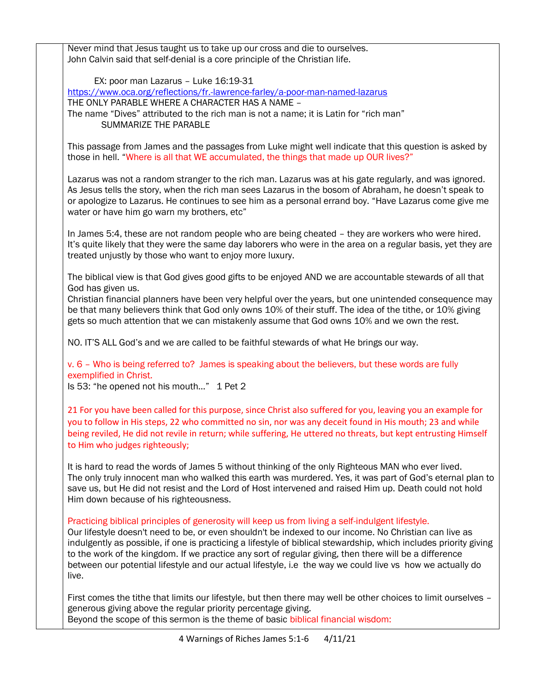Never mind that Jesus taught us to take up our cross and die to ourselves. John Calvin said that self-denial is a core principle of the Christian life. EX: poor man Lazarus – Luke 16:19-31 <https://www.oca.org/reflections/fr.-lawrence-farley/a-poor-man-named-lazarus> THE ONLY PARABLE WHERE A CHARACTER HAS A NAME – The name "Dives" attributed to the rich man is not a name; it is Latin for "rich man" SUMMARIZE THE PARABLE This passage from James and the passages from Luke might well indicate that this question is asked by those in hell. "Where is all that WE accumulated, the things that made up OUR lives?" Lazarus was not a random stranger to the rich man. Lazarus was at his gate regularly, and was ignored. As Jesus tells the story, when the rich man sees Lazarus in the bosom of Abraham, he doesn't speak to or apologize to Lazarus. He continues to see him as a personal errand boy. "Have Lazarus come give me water or have him go warn my brothers, etc" In James 5:4, these are not random people who are being cheated – they are workers who were hired. It's quite likely that they were the same day laborers who were in the area on a regular basis, yet they are treated unjustly by those who want to enjoy more luxury. The biblical view is that God gives good gifts to be enjoyed AND we are accountable stewards of all that God has given us. Christian financial planners have been very helpful over the years, but one unintended consequence may be that many believers think that God only owns 10% of their stuff. The idea of the tithe, or 10% giving gets so much attention that we can mistakenly assume that God owns 10% and we own the rest. NO. IT'S ALL God's and we are called to be faithful stewards of what He brings our way. v. 6 – Who is being referred to? James is speaking about the believers, but these words are fully exemplified in Christ. Is 53: "he opened not his mouth..." 1 Pet 2 21 For you have been called for this purpose, since Christ also suffered for you, leaving you an example for you to follow in His steps, 22 who committed no sin, nor was any deceit found in His mouth; 23 and while being reviled, He did not revile in return; while suffering, He uttered no threats, but kept entrusting Himself to Him who judges righteously; It is hard to read the words of James 5 without thinking of the only Righteous MAN who ever lived. The only truly innocent man who walked this earth was murdered. Yes, it was part of God's eternal plan to save us, but He did not resist and the Lord of Host intervened and raised Him up. Death could not hold Him down because of his righteousness. Practicing biblical principles of generosity will keep us from living a self-indulgent lifestyle. Our lifestyle doesn't need to be, or even shouldn't be indexed to our income. No Christian can live as indulgently as possible, if one is practicing a lifestyle of biblical stewardship, which includes priority giving to the work of the kingdom. If we practice any sort of regular giving, then there will be a difference between our potential lifestyle and our actual lifestyle, i.e the way we could live vs how we actually do live. First comes the tithe that limits our lifestyle, but then there may well be other choices to limit ourselves – generous giving above the regular priority percentage giving. Beyond the scope of this sermon is the theme of basic biblical financial wisdom: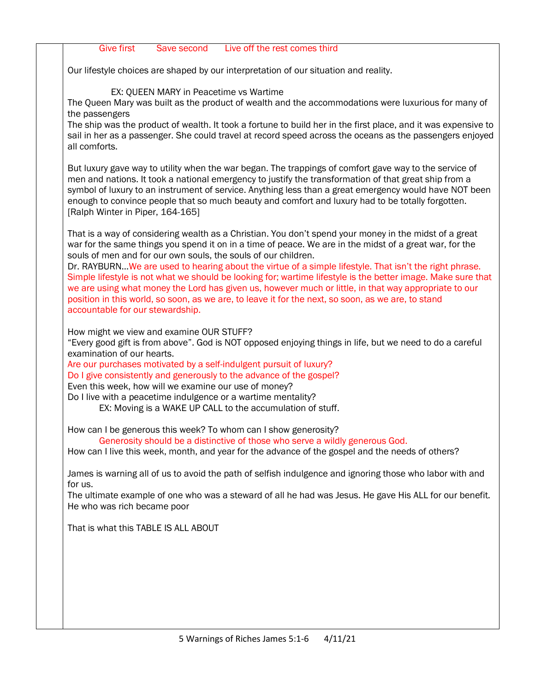| <b>Give first</b><br>Live off the rest comes third<br>Save second                                                                                                                                           |
|-------------------------------------------------------------------------------------------------------------------------------------------------------------------------------------------------------------|
| Our lifestyle choices are shaped by our interpretation of our situation and reality.                                                                                                                        |
|                                                                                                                                                                                                             |
| EX: QUEEN MARY in Peacetime vs Wartime<br>The Queen Mary was built as the product of wealth and the accommodations were luxurious for many of                                                               |
| the passengers                                                                                                                                                                                              |
| The ship was the product of wealth. It took a fortune to build her in the first place, and it was expensive to                                                                                              |
| sail in her as a passenger. She could travel at record speed across the oceans as the passengers enjoyed<br>all comforts.                                                                                   |
| But luxury gave way to utility when the war began. The trappings of comfort gave way to the service of                                                                                                      |
| men and nations. It took a national emergency to justify the transformation of that great ship from a                                                                                                       |
| symbol of luxury to an instrument of service. Anything less than a great emergency would have NOT been<br>enough to convince people that so much beauty and comfort and luxury had to be totally forgotten. |
| [Ralph Winter in Piper, 164-165]                                                                                                                                                                            |
| That is a way of considering wealth as a Christian. You don't spend your money in the midst of a great                                                                                                      |
| war for the same things you spend it on in a time of peace. We are in the midst of a great war, for the<br>souls of men and for our own souls, the souls of our children.                                   |
| Dr. RAYBURNWe are used to hearing about the virtue of a simple lifestyle. That isn't the right phrase.                                                                                                      |
| Simple lifestyle is not what we should be looking for; wartime lifestyle is the better image. Make sure that                                                                                                |
| we are using what money the Lord has given us, however much or little, in that way appropriate to our<br>position in this world, so soon, as we are, to leave it for the next, so soon, as we are, to stand |
| accountable for our stewardship.                                                                                                                                                                            |
| How might we view and examine OUR STUFF?                                                                                                                                                                    |
| "Every good gift is from above". God is NOT opposed enjoying things in life, but we need to do a careful                                                                                                    |
| examination of our hearts.                                                                                                                                                                                  |
| Are our purchases motivated by a self-indulgent pursuit of luxury?<br>Do I give consistently and generously to the advance of the gospel?                                                                   |
| Even this week, how will we examine our use of money?                                                                                                                                                       |
| Do I live with a peacetime indulgence or a wartime mentality?                                                                                                                                               |
| EX: Moving is a WAKE UP CALL to the accumulation of stuff.                                                                                                                                                  |
| How can I be generous this week? To whom can I show generosity?                                                                                                                                             |
| Generosity should be a distinctive of those who serve a wildly generous God.<br>How can I live this week, month, and year for the advance of the gospel and the needs of others?                            |
|                                                                                                                                                                                                             |
| James is warning all of us to avoid the path of selfish indulgence and ignoring those who labor with and<br>for us.                                                                                         |
| The ultimate example of one who was a steward of all he had was Jesus. He gave His ALL for our benefit.<br>He who was rich became poor                                                                      |
| That is what this TABLE IS ALL ABOUT                                                                                                                                                                        |
|                                                                                                                                                                                                             |
|                                                                                                                                                                                                             |
|                                                                                                                                                                                                             |
|                                                                                                                                                                                                             |
|                                                                                                                                                                                                             |